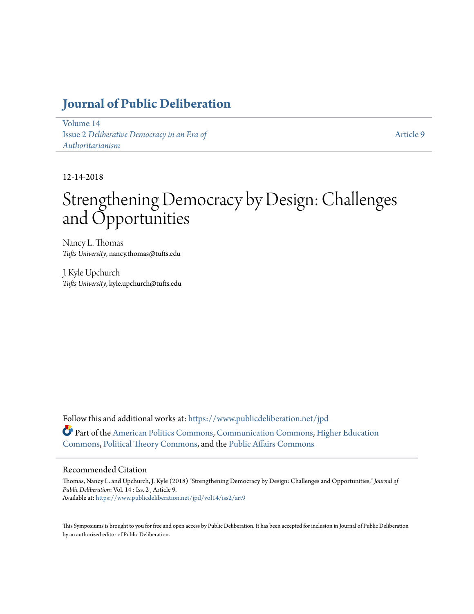## **[Journal of Public Deliberation](https://www.publicdeliberation.net/jpd?utm_source=www.publicdeliberation.net%2Fjpd%2Fvol14%2Fiss2%2Fart9&utm_medium=PDF&utm_campaign=PDFCoverPages)**

[Volume 14](https://www.publicdeliberation.net/jpd/vol14?utm_source=www.publicdeliberation.net%2Fjpd%2Fvol14%2Fiss2%2Fart9&utm_medium=PDF&utm_campaign=PDFCoverPages) Issue 2 *[Deliberative Democracy in an Era of](https://www.publicdeliberation.net/jpd/vol14/iss2?utm_source=www.publicdeliberation.net%2Fjpd%2Fvol14%2Fiss2%2Fart9&utm_medium=PDF&utm_campaign=PDFCoverPages) [Authoritarianism](https://www.publicdeliberation.net/jpd/vol14/iss2?utm_source=www.publicdeliberation.net%2Fjpd%2Fvol14%2Fiss2%2Fart9&utm_medium=PDF&utm_campaign=PDFCoverPages)*

[Article 9](https://www.publicdeliberation.net/jpd/vol14/iss2/art9?utm_source=www.publicdeliberation.net%2Fjpd%2Fvol14%2Fiss2%2Fart9&utm_medium=PDF&utm_campaign=PDFCoverPages)

12-14-2018

# Strengthening Democracy by Design: Challenges and Opportunities

Nancy L. Thomas *Tufts University*, nancy.thomas@tufts.edu

J. Kyle Upchurch *Tufts University*, kyle.upchurch@tufts.edu

Follow this and additional works at: [https://www.publicdeliberation.net/jpd](https://www.publicdeliberation.net/jpd?utm_source=www.publicdeliberation.net%2Fjpd%2Fvol14%2Fiss2%2Fart9&utm_medium=PDF&utm_campaign=PDFCoverPages) Part of the [American Politics Commons](http://network.bepress.com/hgg/discipline/387?utm_source=www.publicdeliberation.net%2Fjpd%2Fvol14%2Fiss2%2Fart9&utm_medium=PDF&utm_campaign=PDFCoverPages), [Communication Commons](http://network.bepress.com/hgg/discipline/325?utm_source=www.publicdeliberation.net%2Fjpd%2Fvol14%2Fiss2%2Fart9&utm_medium=PDF&utm_campaign=PDFCoverPages), [Higher Education](http://network.bepress.com/hgg/discipline/1245?utm_source=www.publicdeliberation.net%2Fjpd%2Fvol14%2Fiss2%2Fart9&utm_medium=PDF&utm_campaign=PDFCoverPages) [Commons,](http://network.bepress.com/hgg/discipline/1245?utm_source=www.publicdeliberation.net%2Fjpd%2Fvol14%2Fiss2%2Fart9&utm_medium=PDF&utm_campaign=PDFCoverPages) [Political Theory Commons](http://network.bepress.com/hgg/discipline/391?utm_source=www.publicdeliberation.net%2Fjpd%2Fvol14%2Fiss2%2Fart9&utm_medium=PDF&utm_campaign=PDFCoverPages), and the [Public Affairs Commons](http://network.bepress.com/hgg/discipline/399?utm_source=www.publicdeliberation.net%2Fjpd%2Fvol14%2Fiss2%2Fart9&utm_medium=PDF&utm_campaign=PDFCoverPages)

#### Recommended Citation

Thomas, Nancy L. and Upchurch, J. Kyle (2018) "Strengthening Democracy by Design: Challenges and Opportunities," *Journal of Public Deliberation*: Vol. 14 : Iss. 2 , Article 9. Available at: [https://www.publicdeliberation.net/jpd/vol14/iss2/art9](https://www.publicdeliberation.net/jpd/vol14/iss2/art9?utm_source=www.publicdeliberation.net%2Fjpd%2Fvol14%2Fiss2%2Fart9&utm_medium=PDF&utm_campaign=PDFCoverPages)

This Symposiums is brought to you for free and open access by Public Deliberation. It has been accepted for inclusion in Journal of Public Deliberation by an authorized editor of Public Deliberation.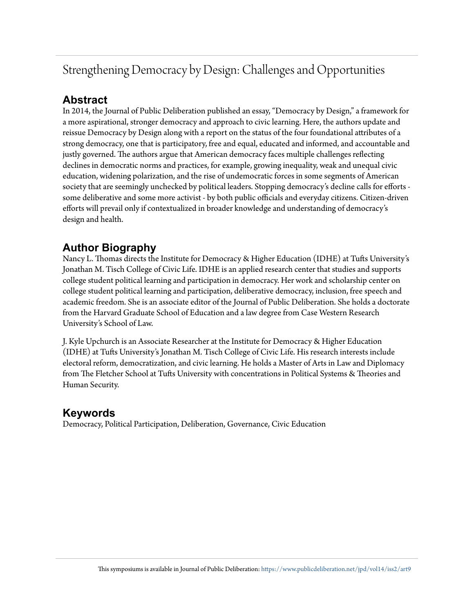## Strengthening Democracy by Design: Challenges and Opportunities

## **Abstract**

In 2014, the Journal of Public Deliberation published an essay, "Democracy by Design," a framework for a more aspirational, stronger democracy and approach to civic learning. Here, the authors update and reissue Democracy by Design along with a report on the status of the four foundational attributes of a strong democracy, one that is participatory, free and equal, educated and informed, and accountable and justly governed. The authors argue that American democracy faces multiple challenges reflecting declines in democratic norms and practices, for example, growing inequality, weak and unequal civic education, widening polarization, and the rise of undemocratic forces in some segments of American society that are seemingly unchecked by political leaders. Stopping democracy's decline calls for efforts some deliberative and some more activist - by both public officials and everyday citizens. Citizen-driven efforts will prevail only if contextualized in broader knowledge and understanding of democracy's design and health.

## **Author Biography**

Nancy L. Thomas directs the Institute for Democracy & Higher Education (IDHE) at Tufts University's Jonathan M. Tisch College of Civic Life. IDHE is an applied research center that studies and supports college student political learning and participation in democracy. Her work and scholarship center on college student political learning and participation, deliberative democracy, inclusion, free speech and academic freedom. She is an associate editor of the Journal of Public Deliberation. She holds a doctorate from the Harvard Graduate School of Education and a law degree from Case Western Research University's School of Law.

J. Kyle Upchurch is an Associate Researcher at the Institute for Democracy & Higher Education (IDHE) at Tufts University's Jonathan M. Tisch College of Civic Life. His research interests include electoral reform, democratization, and civic learning. He holds a Master of Arts in Law and Diplomacy from The Fletcher School at Tufts University with concentrations in Political Systems & Theories and Human Security.

### **Keywords**

Democracy, Political Participation, Deliberation, Governance, Civic Education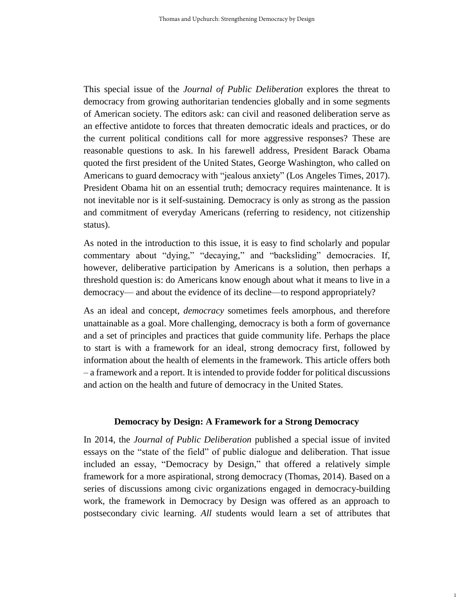This special issue of the *Journal of Public Deliberation* explores the threat to democracy from growing authoritarian tendencies globally and in some segments of American society. The editors ask: can civil and reasoned deliberation serve as an effective antidote to forces that threaten democratic ideals and practices, or do the current political conditions call for more aggressive responses? These are reasonable questions to ask. In his farewell address, President Barack Obama quoted the first president of the United States, George Washington, who called on Americans to guard democracy with "jealous anxiety" (Los Angeles Times, 2017). President Obama hit on an essential truth; democracy requires maintenance. It is not inevitable nor is it self-sustaining. Democracy is only as strong as the passion and commitment of everyday Americans (referring to residency, not citizenship status).

As noted in the introduction to this issue, it is easy to find scholarly and popular commentary about "dying," "decaying," and "backsliding" democracies. If, however, deliberative participation by Americans is a solution, then perhaps a threshold question is: do Americans know enough about what it means to live in a democracy— and about the evidence of its decline—to respond appropriately?

As an ideal and concept, *democracy* sometimes feels amorphous, and therefore unattainable as a goal. More challenging, democracy is both a form of governance and a set of principles and practices that guide community life. Perhaps the place to start is with a framework for an ideal, strong democracy first, followed by information about the health of elements in the framework. This article offers both – a framework and a report. It is intended to provide fodder for political discussions and action on the health and future of democracy in the United States.

#### **Democracy by Design: A Framework for a Strong Democracy**

In 2014, the *Journal of Public Deliberation* published a special issue of invited essays on the "state of the field" of public dialogue and deliberation. That issue included an essay, "Democracy by Design," that offered a relatively simple framework for a more aspirational, strong democracy (Thomas, 2014). Based on a series of discussions among civic organizations engaged in democracy-building work, the framework in Democracy by Design was offered as an approach to postsecondary civic learning. *All* students would learn a set of attributes that

1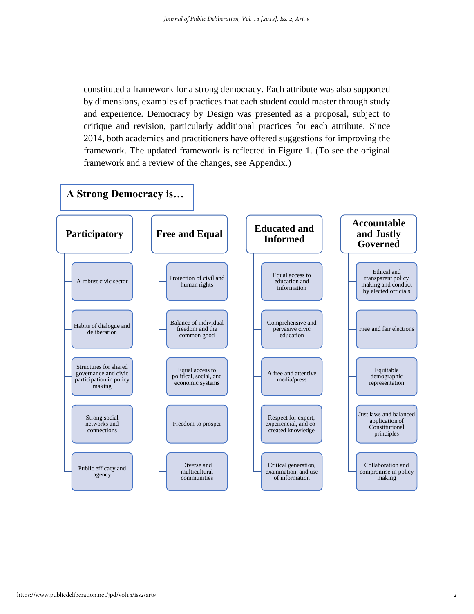constituted a framework for a strong democracy. Each attribute was also supported by dimensions, examples of practices that each student could master through study and experience. Democracy by Design was presented as a proposal, subject to critique and revision, particularly additional practices for each attribute. Since 2014, both academics and practitioners have offered suggestions for improving the framework. The updated framework is reflected in Figure 1. (To see the original framework and a review of the changes, see Appendix.)

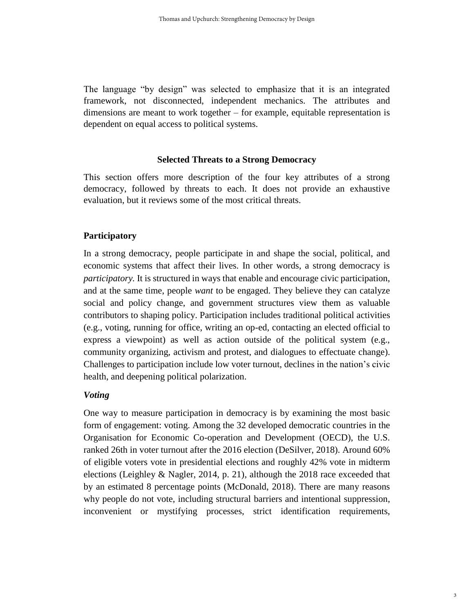The language "by design" was selected to emphasize that it is an integrated framework, not disconnected, independent mechanics. The attributes and dimensions are meant to work together – for example, equitable representation is dependent on equal access to political systems.

#### **Selected Threats to a Strong Democracy**

This section offers more description of the four key attributes of a strong democracy, followed by threats to each. It does not provide an exhaustive evaluation, but it reviews some of the most critical threats.

#### **Participatory**

In a strong democracy, people participate in and shape the social, political, and economic systems that affect their lives. In other words, a strong democracy is *participatory.* It is structured in ways that enable and encourage civic participation, and at the same time, people *want* to be engaged. They believe they can catalyze social and policy change, and government structures view them as valuable contributors to shaping policy. Participation includes traditional political activities (e.g., voting, running for office, writing an op-ed, contacting an elected official to express a viewpoint) as well as action outside of the political system (e.g., community organizing, activism and protest, and dialogues to effectuate change). Challenges to participation include low voter turnout, declines in the nation's civic health, and deepening political polarization.

#### *Voting*

One way to measure participation in democracy is by examining the most basic form of engagement: voting. Among the 32 developed democratic countries in the Organisation for Economic Co-operation and Development (OECD), the U.S. ranked 26th in voter turnout after the 2016 election (DeSilver, 2018). Around 60% of eligible voters vote in presidential elections and roughly 42% vote in midterm elections (Leighley & Nagler, 2014, p. 21), although the 2018 race exceeded that by an estimated 8 percentage points (McDonald, 2018). There are many reasons why people do not vote, including structural barriers and intentional suppression, inconvenient or mystifying processes, strict identification requirements,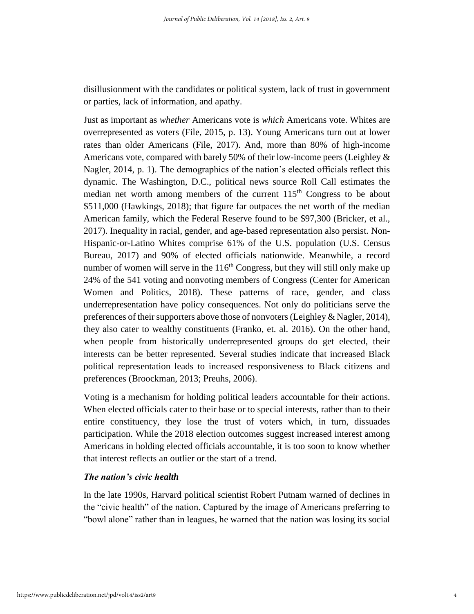disillusionment with the candidates or political system, lack of trust in government or parties, lack of information, and apathy.

Just as important as *whether* Americans vote is *which* Americans vote. Whites are overrepresented as voters (File, 2015, p. 13). Young Americans turn out at lower rates than older Americans (File, 2017). And, more than 80% of high-income Americans vote, compared with barely 50% of their low-income peers (Leighley & Nagler, 2014, p. 1). The demographics of the nation's elected officials reflect this dynamic. The Washington, D.C., political news source Roll Call estimates the median net worth among members of the current 115<sup>th</sup> Congress to be about \$511,000 (Hawkings, 2018); that figure far outpaces the net worth of the median American family, which the Federal Reserve found to be \$97,300 (Bricker, et al., 2017). Inequality in racial, gender, and age-based representation also persist. Non-Hispanic-or-Latino Whites comprise 61% of the U.S. population (U.S. Census Bureau, 2017) and 90% of elected officials nationwide. Meanwhile, a record number of women will serve in the  $116<sup>th</sup> Congress$ , but they will still only make up 24% of the 541 voting and nonvoting members of Congress (Center for American Women and Politics, 2018). These patterns of race, gender, and class underrepresentation have policy consequences. Not only do politicians serve the preferences of their supporters above those of nonvoters (Leighley & Nagler, 2014), they also cater to wealthy constituents (Franko, et. al. 2016). On the other hand, when people from historically underrepresented groups do get elected, their interests can be better represented. Several studies indicate that increased Black political representation leads to increased responsiveness to Black citizens and preferences (Broockman, 2013; Preuhs, 2006).

Voting is a mechanism for holding political leaders accountable for their actions. When elected officials cater to their base or to special interests, rather than to their entire constituency, they lose the trust of voters which, in turn, dissuades participation. While the 2018 election outcomes suggest increased interest among Americans in holding elected officials accountable, it is too soon to know whether that interest reflects an outlier or the start of a trend.

#### *The nation's civic health*

In the late 1990s, Harvard political scientist Robert Putnam warned of declines in the "civic health" of the nation. Captured by the image of Americans preferring to "bowl alone" rather than in leagues, he warned that the nation was losing its social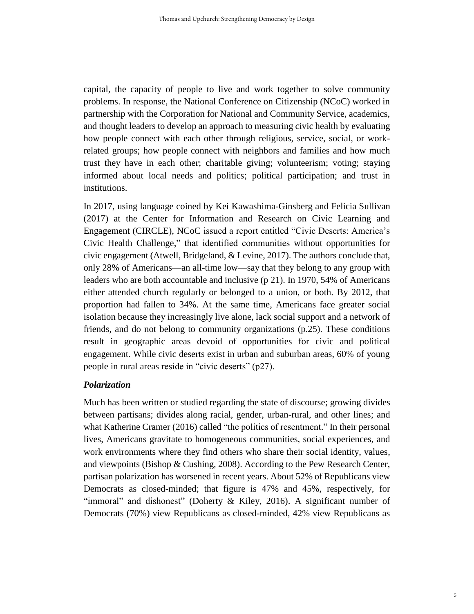capital, the capacity of people to live and work together to solve community problems. In response, the National Conference on Citizenship (NCoC) worked in partnership with the Corporation for National and Community Service, academics, and thought leaders to develop an approach to measuring civic health by evaluating how people connect with each other through religious, service, social, or workrelated groups; how people connect with neighbors and families and how much trust they have in each other; charitable giving; volunteerism; voting; staying informed about local needs and politics; political participation; and trust in institutions.

In 2017, using language coined by Kei Kawashima-Ginsberg and Felicia Sullivan (2017) at the Center for Information and Research on Civic Learning and Engagement (CIRCLE), NCoC issued a report entitled "Civic Deserts: America's Civic Health Challenge," that identified communities without opportunities for civic engagement (Atwell, Bridgeland, & Levine, 2017). The authors conclude that, only 28% of Americans—an all-time low—say that they belong to any group with leaders who are both accountable and inclusive (p 21). In 1970, 54% of Americans either attended church regularly or belonged to a union, or both. By 2012, that proportion had fallen to 34%. At the same time, Americans face greater social isolation because they increasingly live alone, lack social support and a network of friends, and do not belong to community organizations (p.25). These conditions result in geographic areas devoid of opportunities for civic and political engagement. While civic deserts exist in urban and suburban areas, 60% of young people in rural areas reside in "civic deserts" (p27).

#### *Polarization*

Much has been written or studied regarding the state of discourse; growing divides between partisans; divides along racial, gender, urban-rural, and other lines; and what Katherine Cramer (2016) called "the politics of resentment." In their personal lives, Americans gravitate to homogeneous communities, social experiences, and work environments where they find others who share their social identity, values, and viewpoints (Bishop & Cushing, 2008). According to the Pew Research Center, partisan polarization has worsened in recent years. About 52% of Republicans view Democrats as closed-minded; that figure is 47% and 45%, respectively, for "immoral" and dishonest" (Doherty & Kiley, 2016). A significant number of Democrats (70%) view Republicans as closed-minded, 42% view Republicans as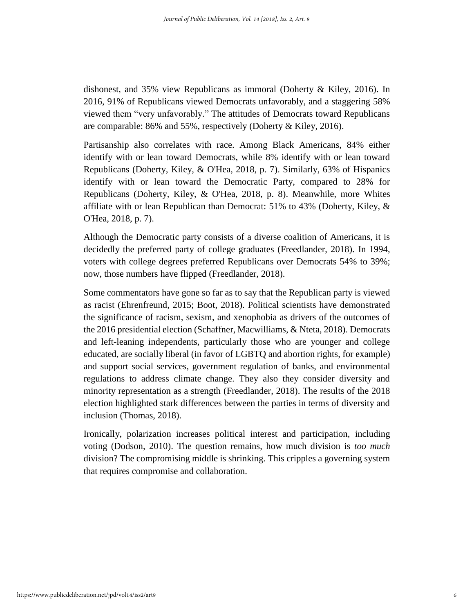dishonest, and 35% view Republicans as immoral (Doherty & Kiley, 2016). In 2016, 91% of Republicans viewed Democrats unfavorably, and a staggering 58% viewed them "very unfavorably." The attitudes of Democrats toward Republicans are comparable: 86% and 55%, respectively (Doherty & Kiley, 2016).

Partisanship also correlates with race. Among Black Americans, 84% either identify with or lean toward Democrats, while 8% identify with or lean toward Republicans (Doherty, Kiley, & O'Hea, 2018, p. 7). Similarly, 63% of Hispanics identify with or lean toward the Democratic Party, compared to 28% for Republicans (Doherty, Kiley, & O'Hea, 2018, p. 8). Meanwhile, more Whites affiliate with or lean Republican than Democrat: 51% to 43% (Doherty, Kiley, & O'Hea, 2018, p. 7).

Although the Democratic party consists of a diverse coalition of Americans, it is decidedly the preferred party of college graduates (Freedlander, 2018). In 1994, voters with college degrees preferred Republicans over Democrats 54% to 39%; now, those numbers have flipped (Freedlander, 2018).

Some commentators have gone so far as to say that the Republican party is viewed as racist (Ehrenfreund, 2015; Boot, 2018). Political scientists have demonstrated the significance of racism, sexism, and xenophobia as drivers of the outcomes of the 2016 presidential election (Schaffner, Macwilliams, & Nteta, 2018). Democrats and left-leaning independents, particularly those who are younger and college educated, are socially liberal (in favor of LGBTQ and abortion rights, for example) and support social services, government regulation of banks, and environmental regulations to address climate change. They also they consider diversity and minority representation as a strength (Freedlander, 2018). The results of the 2018 election highlighted stark differences between the parties in terms of diversity and inclusion (Thomas, 2018).

Ironically, polarization increases political interest and participation, including voting (Dodson, 2010). The question remains, how much division is *too much*  division? The compromising middle is shrinking. This cripples a governing system that requires compromise and collaboration.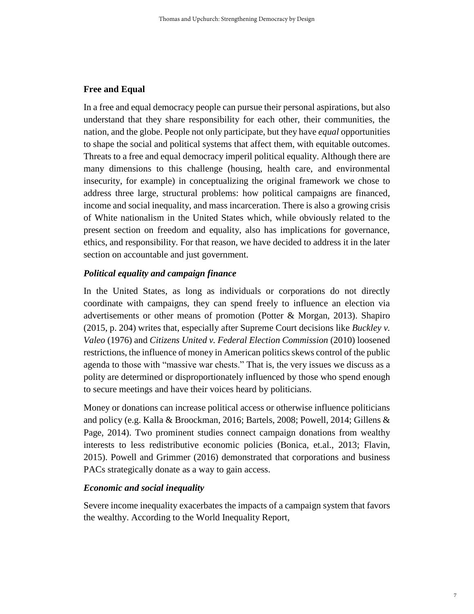#### **Free and Equal**

In a free and equal democracy people can pursue their personal aspirations, but also understand that they share responsibility for each other, their communities, the nation, and the globe. People not only participate, but they have *equal* opportunities to shape the social and political systems that affect them, with equitable outcomes. Threats to a free and equal democracy imperil political equality. Although there are many dimensions to this challenge (housing, health care, and environmental insecurity, for example) in conceptualizing the original framework we chose to address three large, structural problems: how political campaigns are financed, income and social inequality, and mass incarceration. There is also a growing crisis of White nationalism in the United States which, while obviously related to the present section on freedom and equality, also has implications for governance, ethics, and responsibility. For that reason, we have decided to address it in the later section on accountable and just government.

#### *Political equality and campaign finance*

In the United States, as long as individuals or corporations do not directly coordinate with campaigns, they can spend freely to influence an election via advertisements or other means of promotion (Potter & Morgan, 2013). Shapiro (2015, p. 204) writes that, especially after Supreme Court decisions like *Buckley v. Valeo* (1976) and *Citizens United v. Federal Election Commission* (2010) loosened restrictions, the influence of money in American politics skews control of the public agenda to those with "massive war chests." That is, the very issues we discuss as a polity are determined or disproportionately influenced by those who spend enough to secure meetings and have their voices heard by politicians.

Money or donations can increase political access or otherwise influence politicians and policy (e.g. Kalla & Broockman, 2016; Bartels, 2008; Powell, 2014; Gillens & Page, 2014). Two prominent studies connect campaign donations from wealthy interests to less redistributive economic policies (Bonica, et.al., 2013; Flavin, 2015). Powell and Grimmer (2016) demonstrated that corporations and business PACs strategically donate as a way to gain access.

#### *Economic and social inequality*

Severe income inequality exacerbates the impacts of a campaign system that favors the wealthy. According to the World Inequality Report,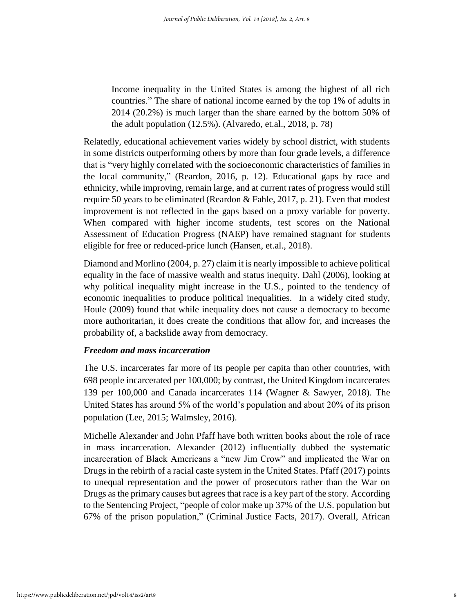Income inequality in the United States is among the highest of all rich countries." The share of national income earned by the top 1% of adults in 2014 (20.2%) is much larger than the share earned by the bottom 50% of the adult population (12.5%). (Alvaredo, et.al., 2018, p. 78)

Relatedly, educational achievement varies widely by school district, with students in some districts outperforming others by more than four grade levels, a difference that is "very highly correlated with the socioeconomic characteristics of families in the local community," (Reardon, 2016, p. 12). Educational gaps by race and ethnicity, while improving, remain large, and at current rates of progress would still require 50 years to be eliminated (Reardon  $\&$  Fahle, 2017, p. 21). Even that modest improvement is not reflected in the gaps based on a proxy variable for poverty. When compared with higher income students, test scores on the National Assessment of Education Progress (NAEP) have remained stagnant for students eligible for free or reduced-price lunch (Hansen, et.al., 2018).

Diamond and Morlino (2004, p. 27) claim it is nearly impossible to achieve political equality in the face of massive wealth and status inequity. Dahl (2006), looking at why political inequality might increase in the U.S., pointed to the tendency of economic inequalities to produce political inequalities. In a widely cited study, Houle (2009) found that while inequality does not cause a democracy to become more authoritarian, it does create the conditions that allow for, and increases the probability of, a backslide away from democracy.

#### *Freedom and mass incarceration*

The U.S. incarcerates far more of its people per capita than other countries, with 698 people incarcerated per 100,000; by contrast, the United Kingdom incarcerates 139 per 100,000 and Canada incarcerates 114 (Wagner & Sawyer, 2018). The United States has around 5% of the world's population and about 20% of its prison population (Lee, 2015; Walmsley, 2016).

Michelle Alexander and John Pfaff have both written books about the role of race in mass incarceration. Alexander (2012) influentially dubbed the systematic incarceration of Black Americans a "new Jim Crow" and implicated the War on Drugs in the rebirth of a racial caste system in the United States. Pfaff (2017) points to unequal representation and the power of prosecutors rather than the War on Drugs as the primary causes but agrees that race is a key part of the story. According to the Sentencing Project, "people of color make up 37% of the U.S. population but 67% of the prison population," (Criminal Justice Facts, 2017). Overall, African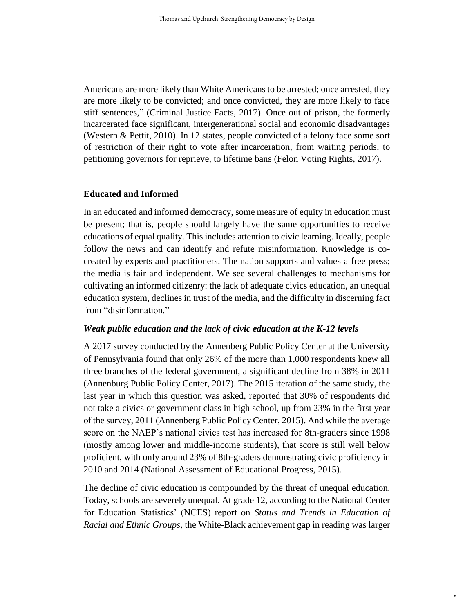Americans are more likely than White Americans to be arrested; once arrested, they are more likely to be convicted; and once convicted, they are more likely to face stiff sentences," (Criminal Justice Facts, 2017). Once out of prison, the formerly incarcerated face significant, intergenerational social and economic disadvantages (Western & Pettit, 2010). In 12 states, people convicted of a felony face some sort of restriction of their right to vote after incarceration, from waiting periods, to petitioning governors for reprieve, to lifetime bans (Felon Voting Rights, 2017).

#### **Educated and Informed**

In an educated and informed democracy, some measure of equity in education must be present; that is, people should largely have the same opportunities to receive educations of equal quality. This includes attention to civic learning. Ideally, people follow the news and can identify and refute misinformation. Knowledge is cocreated by experts and practitioners. The nation supports and values a free press; the media is fair and independent. We see several challenges to mechanisms for cultivating an informed citizenry: the lack of adequate civics education, an unequal education system, declines in trust of the media, and the difficulty in discerning fact from "disinformation."

#### *Weak public education and the lack of civic education at the K-12 levels*

A 2017 survey conducted by the Annenberg Public Policy Center at the University of Pennsylvania found that only 26% of the more than 1,000 respondents knew all three branches of the federal government, a significant decline from 38% in 2011 (Annenburg Public Policy Center, 2017). The 2015 iteration of the same study, the last year in which this question was asked, reported that 30% of respondents did not take a civics or government class in high school, up from 23% in the first year of the survey, 2011 (Annenberg Public Policy Center, 2015). And while the average score on the NAEP's national civics test has increased for 8th-graders since 1998 (mostly among lower and middle-income students), that score is still well below proficient, with only around 23% of 8th-graders demonstrating civic proficiency in 2010 and 2014 (National Assessment of Educational Progress, 2015).

The decline of civic education is compounded by the threat of unequal education. Today, schools are severely unequal. At grade 12, according to the National Center for Education Statistics' (NCES) report on *Status and Trends in Education of Racial and Ethnic Groups,* the White-Black achievement gap in reading was larger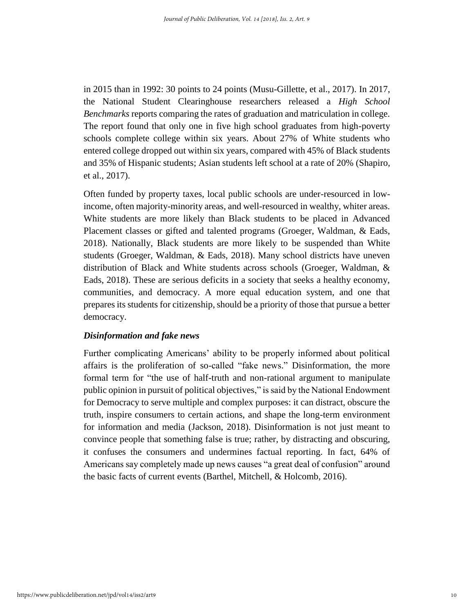in 2015 than in 1992: 30 points to 24 points (Musu-Gillette, et al., 2017). In 2017, the National Student Clearinghouse researchers released a *High School Benchmarks* reports comparing the rates of graduation and matriculation in college. The report found that only one in five high school graduates from high-poverty schools complete college within six years. About 27% of White students who entered college dropped out within six years, compared with 45% of Black students and 35% of Hispanic students; Asian students left school at a rate of 20% (Shapiro, et al., 2017).

Often funded by property taxes, local public schools are under-resourced in lowincome, often majority-minority areas, and well-resourced in wealthy, whiter areas. White students are more likely than Black students to be placed in Advanced Placement classes or gifted and talented programs (Groeger, Waldman, & Eads, 2018). Nationally, Black students are more likely to be suspended than White students (Groeger, Waldman, & Eads, 2018). Many school districts have uneven distribution of Black and White students across schools (Groeger, Waldman, & Eads, 2018). These are serious deficits in a society that seeks a healthy economy, communities, and democracy. A more equal education system, and one that prepares its students for citizenship, should be a priority of those that pursue a better democracy.

#### *Disinformation and fake news*

Further complicating Americans' ability to be properly informed about political affairs is the proliferation of so-called "fake news." Disinformation, the more formal term for "the use of half-truth and non-rational argument to manipulate public opinion in pursuit of political objectives," is said by the National Endowment for Democracy to serve multiple and complex purposes: it can distract, obscure the truth, inspire consumers to certain actions, and shape the long-term environment for information and media (Jackson, 2018). Disinformation is not just meant to convince people that something false is true; rather, by distracting and obscuring, it confuses the consumers and undermines factual reporting. In fact, 64% of Americans say completely made up news causes "a great deal of confusion" around the basic facts of current events (Barthel, Mitchell, & Holcomb, 2016).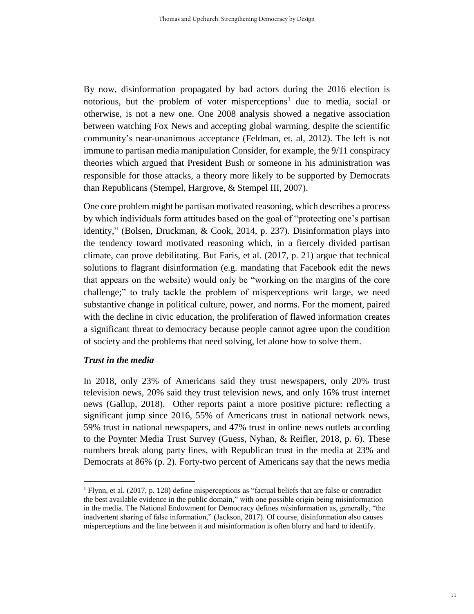By now, disinformation propagated by bad actors during the 2016 election is notorious, but the problem of voter misperceptions<sup>1</sup> due to media, social or otherwise, is not a new one. One 2008 analysis showed a negative association between watching Fox News and accepting global warming, despite the scientific community's near-unanimous acceptance (Feldman, et. al, 2012). The left is not immune to partisan media manipulation Consider, for example, the 9/11 conspiracy theories which argued that President Bush or someone in his administration was responsible for those attacks, a theory more likely to be supported by Democrats than Republicans (Stempel, Hargrove, & Stempel III, 2007).

One core problem might be partisan motivated reasoning, which describes a process by which individuals form attitudes based on the goal of "protecting one's partisan identity," (Bolsen, Druckman, & Cook, 2014, p. 237). Disinformation plays into the tendency toward motivated reasoning which, in a fiercely divided partisan climate, can prove debilitating. But Faris, et al. (2017, p. 21) argue that technical solutions to flagrant disinformation (e.g. mandating that Facebook edit the news that appears on the website) would only be "working on the margins of the core challenge;" to truly tackle the problem of misperceptions writ large, we need substantive change in political culture, power, and norms. For the moment, paired with the decline in civic education, the proliferation of flawed information creates a significant threat to democracy because people cannot agree upon the condition of society and the problems that need solving, let alone how to solve them.

#### *Trust in the media*

 $\overline{a}$ 

In 2018, only 23% of Americans said they trust newspapers, only 20% trust television news, 20% said they trust television news, and only 16% trust internet news (Gallup, 2018). Other reports paint a more positive picture: reflecting a significant jump since 2016, 55% of Americans trust in national network news, 59% trust in national newspapers, and 47% trust in online news outlets according to the Poynter Media Trust Survey (Guess, Nyhan, & Reifler, 2018, p. 6). These numbers break along party lines, with Republican trust in the media at 23% and Democrats at 86% (p. 2). Forty-two percent of Americans say that the news media

<sup>&</sup>lt;sup>1</sup> Flynn, et al. (2017, p. 128) define misperceptions as "factual beliefs that are false or contradict the best available evidence in the public domain," with one possible origin being misinformation in the media. The National Endowment for Democracy defines *mis*information as, generally, "the inadvertent sharing of false information," (Jackson, 2017). Of course, disinformation also causes misperceptions and the line between it and misinformation is often blurry and hard to identify.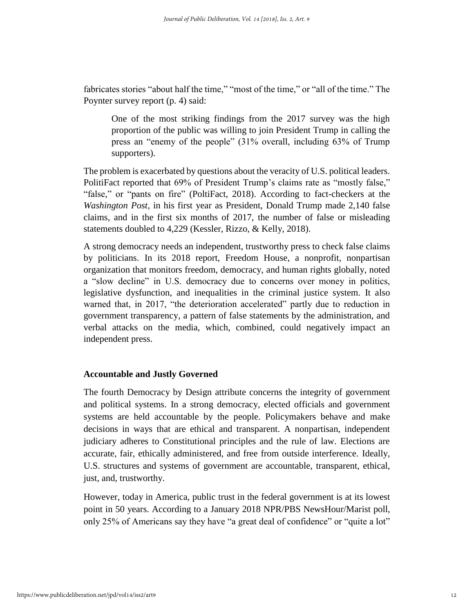fabricates stories "about half the time," "most of the time," or "all of the time." The Poynter survey report (p. 4) said:

One of the most striking findings from the 2017 survey was the high proportion of the public was willing to join President Trump in calling the press an "enemy of the people" (31% overall, including 63% of Trump supporters).

The problem is exacerbated by questions about the veracity of U.S. political leaders. PolitiFact reported that 69% of President Trump's claims rate as "mostly false," "false," or "pants on fire" (PoltiFact, 2018). According to fact-checkers at the *Washington Post*, in his first year as President, Donald Trump made 2,140 false claims, and in the first six months of 2017, the number of false or misleading statements doubled to 4,229 (Kessler, Rizzo, & Kelly, 2018).

A strong democracy needs an independent, trustworthy press to check false claims by politicians. In its 2018 report, Freedom House, a nonprofit, nonpartisan organization that monitors freedom, democracy, and human rights globally, noted a "slow decline" in U.S. democracy due to concerns over money in politics, legislative dysfunction, and inequalities in the criminal justice system. It also warned that, in 2017, "the deterioration accelerated" partly due to reduction in government transparency, a pattern of false statements by the administration, and verbal attacks on the media, which, combined, could negatively impact an independent press.

#### **Accountable and Justly Governed**

The fourth Democracy by Design attribute concerns the integrity of government and political systems. In a strong democracy, elected officials and government systems are held accountable by the people. Policymakers behave and make decisions in ways that are ethical and transparent. A nonpartisan, independent judiciary adheres to Constitutional principles and the rule of law. Elections are accurate, fair, ethically administered, and free from outside interference. Ideally, U.S. structures and systems of government are accountable, transparent, ethical, just, and, trustworthy.

However, today in America, public trust in the federal government is at its lowest point in 50 years. According to a January 2018 NPR/PBS NewsHour/Marist poll, only 25% of Americans say they have "a great deal of confidence" or "quite a lot"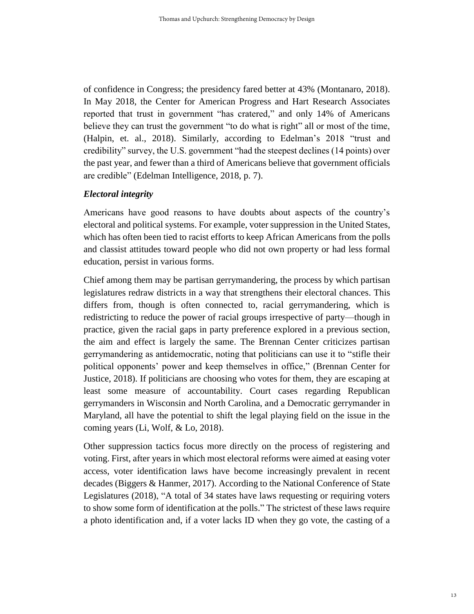of confidence in Congress; the presidency fared better at 43% (Montanaro, 2018). In May 2018, the Center for American Progress and Hart Research Associates reported that trust in government "has cratered," and only 14% of Americans believe they can trust the government "to do what is right" all or most of the time, (Halpin, et. al., 2018). Similarly, according to Edelman's 2018 "trust and credibility" survey, the U.S. government "had the steepest declines (14 points) over the past year, and fewer than a third of Americans believe that government officials are credible" (Edelman Intelligence, 2018, p. 7).

#### *Electoral integrity*

Americans have good reasons to have doubts about aspects of the country's electoral and political systems. For example, voter suppression in the United States, which has often been tied to racist efforts to keep African Americans from the polls and classist attitudes toward people who did not own property or had less formal education, persist in various forms.

Chief among them may be partisan gerrymandering, the process by which partisan legislatures redraw districts in a way that strengthens their electoral chances. This differs from, though is often connected to, racial gerrymandering, which is redistricting to reduce the power of racial groups irrespective of party—though in practice, given the racial gaps in party preference explored in a previous section, the aim and effect is largely the same. The Brennan Center criticizes partisan gerrymandering as antidemocratic, noting that politicians can use it to "stifle their political opponents' power and keep themselves in office," (Brennan Center for Justice, 2018). If politicians are choosing who votes for them, they are escaping at least some measure of accountability. Court cases regarding Republican gerrymanders in Wisconsin and North Carolina, and a Democratic gerrymander in Maryland, all have the potential to shift the legal playing field on the issue in the coming years (Li, Wolf, & Lo, 2018).

Other suppression tactics focus more directly on the process of registering and voting. First, after years in which most electoral reforms were aimed at easing voter access, voter identification laws have become increasingly prevalent in recent decades (Biggers & Hanmer, 2017). According to the National Conference of State Legislatures (2018), "A total of 34 states have laws requesting or requiring voters to show some form of identification at the polls." The strictest of these laws require a photo identification and, if a voter lacks ID when they go vote, the casting of a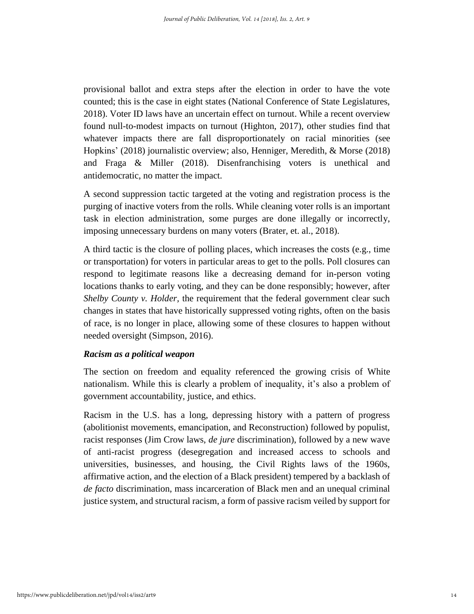provisional ballot and extra steps after the election in order to have the vote counted; this is the case in eight states (National Conference of State Legislatures, 2018). Voter ID laws have an uncertain effect on turnout. While a recent overview found null-to-modest impacts on turnout (Highton, 2017), other studies find that whatever impacts there are fall disproportionately on racial minorities (see Hopkins' (2018) journalistic overview; also, Henniger, Meredith, & Morse (2018) and Fraga & Miller (2018). Disenfranchising voters is unethical and antidemocratic, no matter the impact.

A second suppression tactic targeted at the voting and registration process is the purging of inactive voters from the rolls. While cleaning voter rolls is an important task in election administration, some purges are done illegally or incorrectly, imposing unnecessary burdens on many voters (Brater, et. al., 2018).

A third tactic is the closure of polling places, which increases the costs (e.g., time or transportation) for voters in particular areas to get to the polls. Poll closures can respond to legitimate reasons like a decreasing demand for in-person voting locations thanks to early voting, and they can be done responsibly; however, after *Shelby County v. Holder,* the requirement that the federal government clear such changes in states that have historically suppressed voting rights, often on the basis of race, is no longer in place, allowing some of these closures to happen without needed oversight (Simpson, 2016).

#### *Racism as a political weapon*

The section on freedom and equality referenced the growing crisis of White nationalism. While this is clearly a problem of inequality, it's also a problem of government accountability, justice, and ethics.

Racism in the U.S. has a long, depressing history with a pattern of progress (abolitionist movements, emancipation, and Reconstruction) followed by populist, racist responses (Jim Crow laws, *de jure* discrimination), followed by a new wave of anti-racist progress (desegregation and increased access to schools and universities, businesses, and housing, the Civil Rights laws of the 1960s, affirmative action, and the election of a Black president) tempered by a backlash of *de facto* discrimination, mass incarceration of Black men and an unequal criminal justice system, and structural racism, a form of passive racism veiled by support for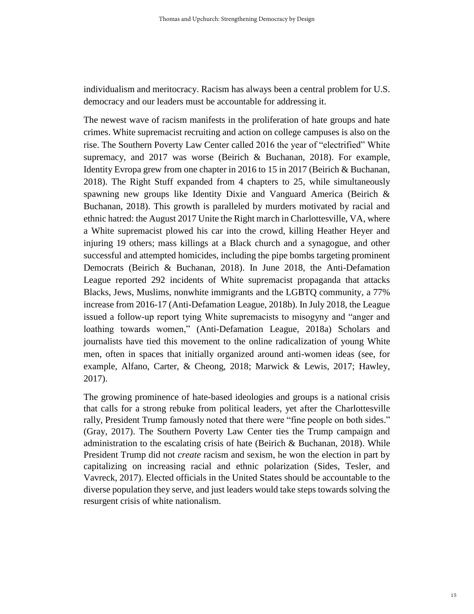individualism and meritocracy. Racism has always been a central problem for U.S. democracy and our leaders must be accountable for addressing it.

The newest wave of racism manifests in the proliferation of hate groups and hate crimes. White supremacist recruiting and action on college campuses is also on the rise. The Southern Poverty Law Center called 2016 the year of "electrified" White supremacy, and 2017 was worse (Beirich & Buchanan, 2018). For example, Identity Evropa grew from one chapter in 2016 to 15 in 2017 (Beirich & Buchanan, 2018). The Right Stuff expanded from 4 chapters to 25, while simultaneously spawning new groups like Identity Dixie and Vanguard America (Beirich  $\&$ Buchanan, 2018). This growth is paralleled by murders motivated by racial and ethnic hatred: the August 2017 Unite the Right march in Charlottesville, VA, where a White supremacist plowed his car into the crowd, killing Heather Heyer and injuring 19 others; mass killings at a Black church and a synagogue, and other successful and attempted homicides, including the pipe bombs targeting prominent Democrats (Beirich & Buchanan, 2018). In June 2018, the Anti-Defamation League reported 292 incidents of White supremacist propaganda that attacks Blacks, Jews, Muslims, nonwhite immigrants and the LGBTQ community, a 77% increase from 2016-17 (Anti-Defamation League, 2018b). In July 2018, the League issued a follow-up report tying White supremacists to misogyny and "anger and loathing towards women," (Anti-Defamation League, 2018a) Scholars and journalists have tied this movement to the online radicalization of young White men, often in spaces that initially organized around anti-women ideas (see, for example, Alfano, Carter, & Cheong, 2018; Marwick & Lewis, 2017; Hawley, 2017).

The growing prominence of hate-based ideologies and groups is a national crisis that calls for a strong rebuke from political leaders, yet after the Charlottesville rally, President Trump famously noted that there were "fine people on both sides." (Gray, 2017). The Southern Poverty Law Center ties the Trump campaign and administration to the escalating crisis of hate (Beirich & Buchanan, 2018). While President Trump did not *create* racism and sexism, he won the election in part by capitalizing on increasing racial and ethnic polarization (Sides, Tesler, and Vavreck, 2017). Elected officials in the United States should be accountable to the diverse population they serve, and just leaders would take steps towards solving the resurgent crisis of white nationalism.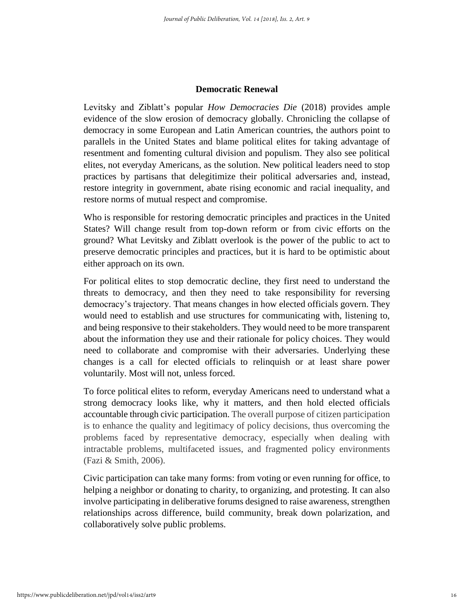#### **Democratic Renewal**

Levitsky and Ziblatt's popular *How Democracies Die* (2018) provides ample evidence of the slow erosion of democracy globally. Chronicling the collapse of democracy in some European and Latin American countries, the authors point to parallels in the United States and blame political elites for taking advantage of resentment and fomenting cultural division and populism. They also see political elites, not everyday Americans, as the solution. New political leaders need to stop practices by partisans that delegitimize their political adversaries and, instead, restore integrity in government, abate rising economic and racial inequality, and restore norms of mutual respect and compromise.

Who is responsible for restoring democratic principles and practices in the United States? Will change result from top-down reform or from civic efforts on the ground? What Levitsky and Ziblatt overlook is the power of the public to act to preserve democratic principles and practices, but it is hard to be optimistic about either approach on its own.

For political elites to stop democratic decline, they first need to understand the threats to democracy, and then they need to take responsibility for reversing democracy's trajectory. That means changes in how elected officials govern. They would need to establish and use structures for communicating with, listening to, and being responsive to their stakeholders. They would need to be more transparent about the information they use and their rationale for policy choices. They would need to collaborate and compromise with their adversaries. Underlying these changes is a call for elected officials to relinquish or at least share power voluntarily. Most will not, unless forced.

To force political elites to reform, everyday Americans need to understand what a strong democracy looks like, why it matters, and then hold elected officials accountable through civic participation. The overall purpose of citizen participation is to enhance the quality and legitimacy of policy decisions, thus overcoming the problems faced by representative democracy, especially when dealing with intractable problems, multifaceted issues, and fragmented policy environments (Fazi & Smith, 2006).

Civic participation can take many forms: from voting or even running for office, to helping a neighbor or donating to charity, to organizing, and protesting. It can also involve participating in deliberative forums designed to raise awareness, strengthen relationships across difference, build community, break down polarization, and collaboratively solve public problems.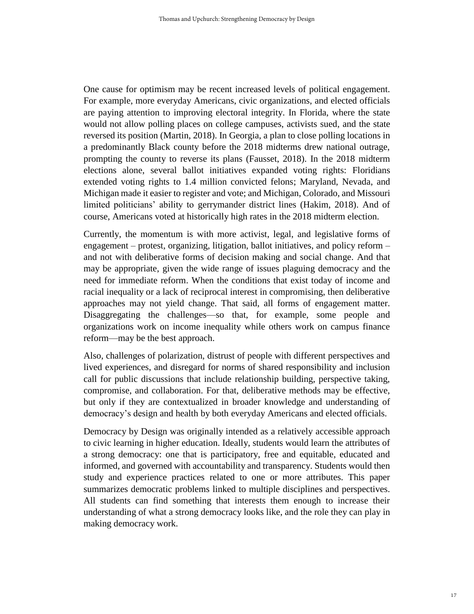One cause for optimism may be recent increased levels of political engagement. For example, more everyday Americans, civic organizations, and elected officials are paying attention to improving electoral integrity. In Florida, where the state would not allow polling places on college campuses, activists sued, and the state reversed its position (Martin, 2018). In Georgia, a plan to close polling locations in a predominantly Black county before the 2018 midterms drew national outrage, prompting the county to reverse its plans (Fausset, 2018). In the 2018 midterm elections alone, several ballot initiatives expanded voting rights: Floridians extended voting rights to 1.4 million convicted felons; Maryland, Nevada, and Michigan made it easier to register and vote; and Michigan, Colorado, and Missouri limited politicians' ability to gerrymander district lines (Hakim, 2018). And of course, Americans voted at historically high rates in the 2018 midterm election.

Currently, the momentum is with more activist, legal, and legislative forms of engagement – protest, organizing, litigation, ballot initiatives, and policy reform – and not with deliberative forms of decision making and social change. And that may be appropriate, given the wide range of issues plaguing democracy and the need for immediate reform. When the conditions that exist today of income and racial inequality or a lack of reciprocal interest in compromising, then deliberative approaches may not yield change. That said, all forms of engagement matter. Disaggregating the challenges—so that, for example, some people and organizations work on income inequality while others work on campus finance reform—may be the best approach.

Also, challenges of polarization, distrust of people with different perspectives and lived experiences, and disregard for norms of shared responsibility and inclusion call for public discussions that include relationship building, perspective taking, compromise, and collaboration. For that, deliberative methods may be effective, but only if they are contextualized in broader knowledge and understanding of democracy's design and health by both everyday Americans and elected officials.

Democracy by Design was originally intended as a relatively accessible approach to civic learning in higher education. Ideally, students would learn the attributes of a strong democracy: one that is participatory, free and equitable, educated and informed, and governed with accountability and transparency. Students would then study and experience practices related to one or more attributes. This paper summarizes democratic problems linked to multiple disciplines and perspectives. All students can find something that interests them enough to increase their understanding of what a strong democracy looks like, and the role they can play in making democracy work.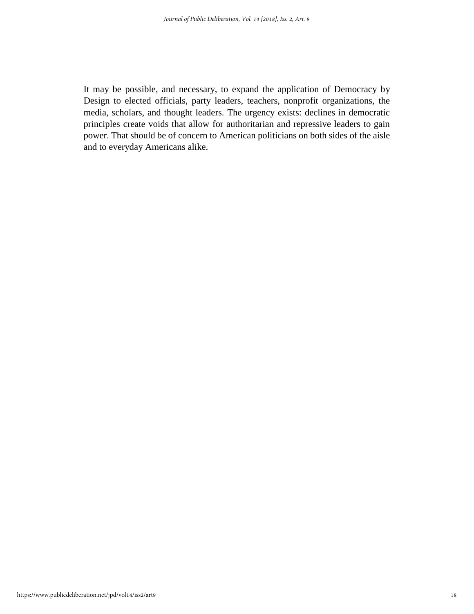It may be possible, and necessary, to expand the application of Democracy by Design to elected officials, party leaders, teachers, nonprofit organizations, the media, scholars, and thought leaders. The urgency exists: declines in democratic principles create voids that allow for authoritarian and repressive leaders to gain power. That should be of concern to American politicians on both sides of the aisle and to everyday Americans alike.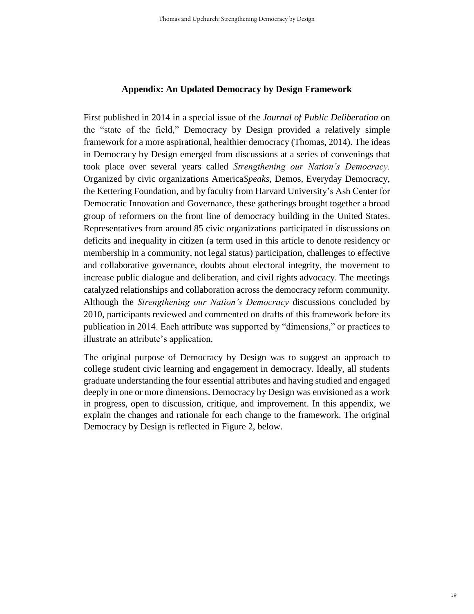#### **Appendix: An Updated Democracy by Design Framework**

First published in 2014 in a special issue of the *Journal of Public Deliberation* on the "state of the field," Democracy by Design provided a relatively simple framework for a more aspirational, healthier democracy (Thomas, 2014). The ideas in Democracy by Design emerged from discussions at a series of convenings that took place over several years called *Strengthening our Nation's Democracy.* Organized by civic organizations America*Speaks*, Demos, Everyday Democracy, the Kettering Foundation, and by faculty from Harvard University's Ash Center for Democratic Innovation and Governance, these gatherings brought together a broad group of reformers on the front line of democracy building in the United States. Representatives from around 85 civic organizations participated in discussions on deficits and inequality in citizen (a term used in this article to denote residency or membership in a community, not legal status) participation, challenges to effective and collaborative governance, doubts about electoral integrity, the movement to increase public dialogue and deliberation, and civil rights advocacy. The meetings catalyzed relationships and collaboration across the democracy reform community. Although the *Strengthening our Nation's Democracy* discussions concluded by 2010, participants reviewed and commented on drafts of this framework before its publication in 2014. Each attribute was supported by "dimensions," or practices to illustrate an attribute's application.

The original purpose of Democracy by Design was to suggest an approach to college student civic learning and engagement in democracy. Ideally, all students graduate understanding the four essential attributes and having studied and engaged deeply in one or more dimensions. Democracy by Design was envisioned as a work in progress, open to discussion, critique, and improvement. In this appendix, we explain the changes and rationale for each change to the framework. The original Democracy by Design is reflected in Figure 2, below.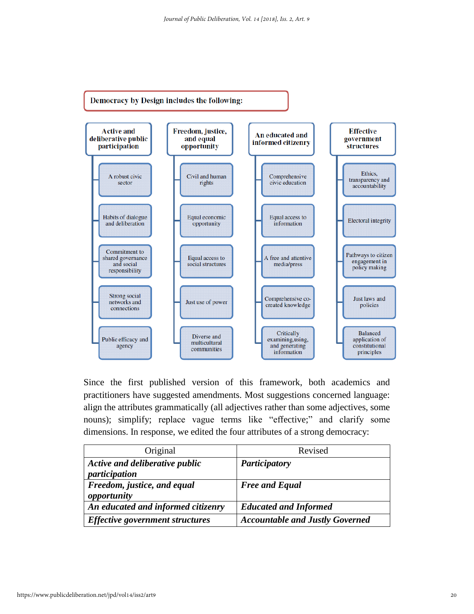

Since the first published version of this framework, both academics and practitioners have suggested amendments. Most suggestions concerned language: align the attributes grammatically (all adjectives rather than some adjectives, some nouns); simplify; replace vague terms like "effective;" and clarify some dimensions. In response, we edited the four attributes of a strong democracy:

| Original                                        | Revised                                |
|-------------------------------------------------|----------------------------------------|
| Active and deliberative public<br>participation | <b>Participatory</b>                   |
| Freedom, justice, and equal<br>opportunity      | <b>Free and Equal</b>                  |
| An educated and informed citizenry              | <b>Educated and Informed</b>           |
| <b>Effective government structures</b>          | <b>Accountable and Justly Governed</b> |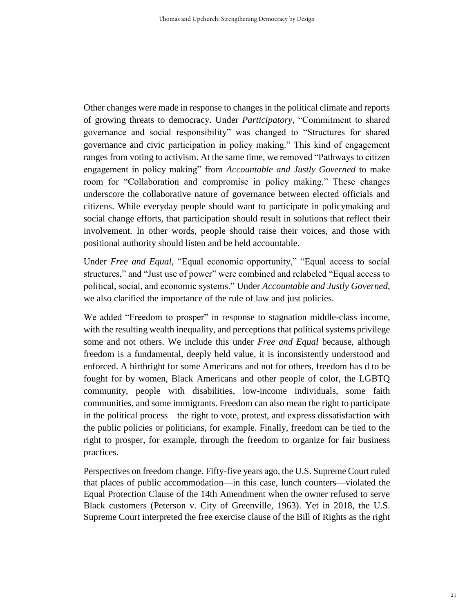Other changes were made in response to changes in the political climate and reports of growing threats to democracy. Under *Participatory,* "Commitment to shared governance and social responsibility" was changed to "Structures for shared governance and civic participation in policy making." This kind of engagement ranges from voting to activism. At the same time, we removed "Pathways to citizen engagement in policy making" from *Accountable and Justly Governed* to make room for "Collaboration and compromise in policy making." These changes underscore the collaborative nature of governance between elected officials and citizens. While everyday people should want to participate in policymaking and social change efforts, that participation should result in solutions that reflect their involvement. In other words, people should raise their voices, and those with positional authority should listen and be held accountable.

Under *Free and Equal,* "Equal economic opportunity," "Equal access to social structures," and "Just use of power" were combined and relabeled "Equal access to political, social, and economic systems." Under *Accountable and Justly Governed*, we also clarified the importance of the rule of law and just policies.

We added "Freedom to prosper" in response to stagnation middle-class income, with the resulting wealth inequality, and perceptions that political systems privilege some and not others. We include this under *Free and Equal* because, although freedom is a fundamental, deeply held value, it is inconsistently understood and enforced. A birthright for some Americans and not for others, freedom has d to be fought for by women, Black Americans and other people of color, the LGBTQ community, people with disabilities, low-income individuals, some faith communities, and some immigrants. Freedom can also mean the right to participate in the political process—the right to vote, protest, and express dissatisfaction with the public policies or politicians, for example. Finally, freedom can be tied to the right to prosper, for example, through the freedom to organize for fair business practices.

Perspectives on freedom change. Fifty-five years ago, the U.S. Supreme Court ruled that places of public accommodation—in this case, lunch counters—violated the Equal Protection Clause of the 14th Amendment when the owner refused to serve Black customers (Peterson v. City of Greenville, 1963). Yet in 2018, the U.S. Supreme Court interpreted the free exercise clause of the Bill of Rights as the right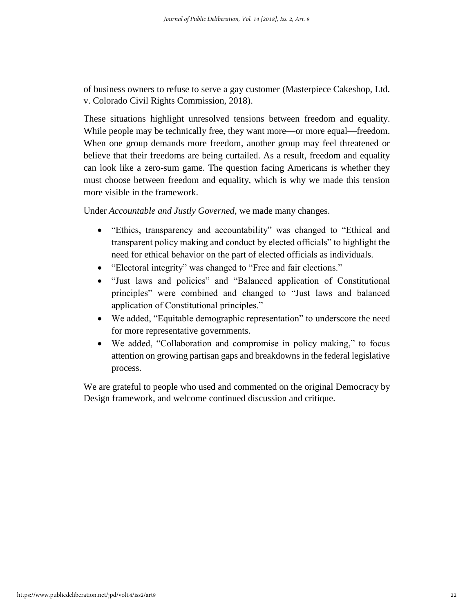of business owners to refuse to serve a gay customer (Masterpiece Cakeshop, Ltd. v. Colorado Civil Rights Commission, 2018).

These situations highlight unresolved tensions between freedom and equality. While people may be technically free, they want more—or more equal—freedom. When one group demands more freedom, another group may feel threatened or believe that their freedoms are being curtailed. As a result, freedom and equality can look like a zero-sum game. The question facing Americans is whether they must choose between freedom and equality, which is why we made this tension more visible in the framework.

Under *Accountable and Justly Governed,* we made many changes.

- "Ethics, transparency and accountability" was changed to "Ethical and transparent policy making and conduct by elected officials" to highlight the need for ethical behavior on the part of elected officials as individuals.
- "Electoral integrity" was changed to "Free and fair elections."
- "Just laws and policies" and "Balanced application of Constitutional principles" were combined and changed to "Just laws and balanced application of Constitutional principles."
- We added, "Equitable demographic representation" to underscore the need for more representative governments.
- We added, "Collaboration and compromise in policy making," to focus attention on growing partisan gaps and breakdowns in the federal legislative process.

We are grateful to people who used and commented on the original Democracy by Design framework, and welcome continued discussion and critique.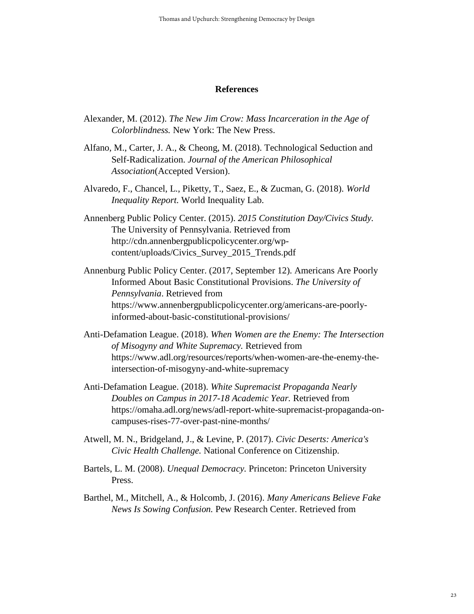#### **References**

- Alexander, M. (2012). *The New Jim Crow: Mass Incarceration in the Age of Colorblindness.* New York: The New Press.
- Alfano, M., Carter, J. A., & Cheong, M. (2018). Technological Seduction and Self-Radicalization. *Journal of the American Philosophical Association*(Accepted Version).
- Alvaredo, F., Chancel, L., Piketty, T., Saez, E., & Zucman, G. (2018). *World Inequality Report.* World Inequality Lab.
- Annenberg Public Policy Center. (2015). *2015 Constitution Day/Civics Study.* The University of Pennsylvania. Retrieved from http://cdn.annenbergpublicpolicycenter.org/wpcontent/uploads/Civics\_Survey\_2015\_Trends.pdf
- Annenburg Public Policy Center. (2017, September 12). Americans Are Poorly Informed About Basic Constitutional Provisions. *The University of Pennsylvania*. Retrieved from https://www.annenbergpublicpolicycenter.org/americans-are-poorlyinformed-about-basic-constitutional-provisions/
- Anti-Defamation League. (2018). *When Women are the Enemy: The Intersection of Misogyny and White Supremacy.* Retrieved from https://www.adl.org/resources/reports/when-women-are-the-enemy-theintersection-of-misogyny-and-white-supremacy
- Anti-Defamation League. (2018). *White Supremacist Propaganda Nearly Doubles on Campus in 2017-18 Academic Year.* Retrieved from https://omaha.adl.org/news/adl-report-white-supremacist-propaganda-oncampuses-rises-77-over-past-nine-months/
- Atwell, M. N., Bridgeland, J., & Levine, P. (2017). *Civic Deserts: America's Civic Health Challenge.* National Conference on Citizenship.
- Bartels, L. M. (2008). *Unequal Democracy.* Princeton: Princeton University Press.
- Barthel, M., Mitchell, A., & Holcomb, J. (2016). *Many Americans Believe Fake News Is Sowing Confusion.* Pew Research Center. Retrieved from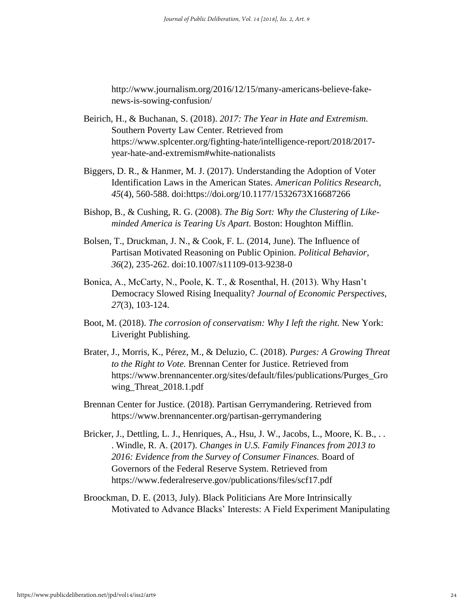http://www.journalism.org/2016/12/15/many-americans-believe-fakenews-is-sowing-confusion/

- Beirich, H., & Buchanan, S. (2018). *2017: The Year in Hate and Extremism.* Southern Poverty Law Center. Retrieved from https://www.splcenter.org/fighting-hate/intelligence-report/2018/2017 year-hate-and-extremism#white-nationalists
- Biggers, D. R., & Hanmer, M. J. (2017). Understanding the Adoption of Voter Identification Laws in the American States. *American Politics Research, 45*(4), 560-588. doi:https://doi.org/10.1177/1532673X16687266
- Bishop, B., & Cushing, R. G. (2008). *The Big Sort: Why the Clustering of Likeminded America is Tearing Us Apart.* Boston: Houghton Mifflin.
- Bolsen, T., Druckman, J. N., & Cook, F. L. (2014, June). The Influence of Partisan Motivated Reasoning on Public Opinion. *Political Behavior, 36*(2), 235-262. doi:10.1007/s11109-013-9238-0
- Bonica, A., McCarty, N., Poole, K. T., & Rosenthal, H. (2013). Why Hasn't Democracy Slowed Rising Inequality? *Journal of Economic Perspectives, 27*(3), 103-124.
- Boot, M. (2018). *The corrosion of conservatism: Why I left the right.* New York: Liveright Publishing.
- Brater, J., Morris, K., Pérez, M., & Deluzio, C. (2018). *Purges: A Growing Threat to the Right to Vote.* Brennan Center for Justice. Retrieved from https://www.brennancenter.org/sites/default/files/publications/Purges\_Gro wing\_Threat\_2018.1.pdf
- Brennan Center for Justice. (2018). Partisan Gerrymandering. Retrieved from https://www.brennancenter.org/partisan-gerrymandering
- Bricker, J., Dettling, L. J., Henriques, A., Hsu, J. W., Jacobs, L., Moore, K. B., .. . Windle, R. A. (2017). *Changes in U.S. Family Finances from 2013 to 2016: Evidence from the Survey of Consumer Finances.* Board of Governors of the Federal Reserve System. Retrieved from https://www.federalreserve.gov/publications/files/scf17.pdf
- Broockman, D. E. (2013, July). Black Politicians Are More Intrinsically Motivated to Advance Blacks' Interests: A Field Experiment Manipulating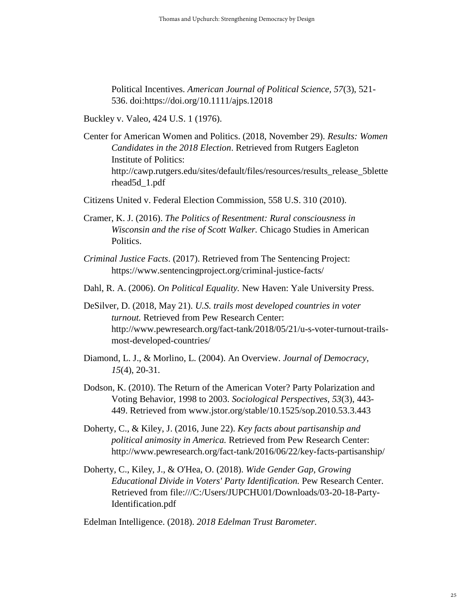Political Incentives. *American Journal of Political Science, 57*(3), 521- 536. doi:https://doi.org/10.1111/ajps.12018

Buckley v. Valeo, 424 U.S. 1 (1976).

Center for American Women and Politics. (2018, November 29). *Results: Women Candidates in the 2018 Election*. Retrieved from Rutgers Eagleton Institute of Politics: http://cawp.rutgers.edu/sites/default/files/resources/results\_release\_5blette rhead5d\_1.pdf

Citizens United v. Federal Election Commission, 558 U.S. 310 (2010).

- Cramer, K. J. (2016). *The Politics of Resentment: Rural consciousness in Wisconsin and the rise of Scott Walker.* Chicago Studies in American Politics.
- *Criminal Justice Facts*. (2017). Retrieved from The Sentencing Project: https://www.sentencingproject.org/criminal-justice-facts/
- Dahl, R. A. (2006). *On Political Equality.* New Haven: Yale University Press.

DeSilver, D. (2018, May 21). *U.S. trails most developed countries in voter turnout.* Retrieved from Pew Research Center: http://www.pewresearch.org/fact-tank/2018/05/21/u-s-voter-turnout-trailsmost-developed-countries/

- Diamond, L. J., & Morlino, L. (2004). An Overview. *Journal of Democracy, 15*(4), 20-31.
- Dodson, K. (2010). The Return of the American Voter? Party Polarization and Voting Behavior, 1998 to 2003. *Sociological Perspectives, 53*(3), 443- 449. Retrieved from www.jstor.org/stable/10.1525/sop.2010.53.3.443
- Doherty, C., & Kiley, J. (2016, June 22). *Key facts about partisanship and political animosity in America.* Retrieved from Pew Research Center: http://www.pewresearch.org/fact-tank/2016/06/22/key-facts-partisanship/
- Doherty, C., Kiley, J., & O'Hea, O. (2018). *Wide Gender Gap, Growing Educational Divide in Voters' Party Identification.* Pew Research Center. Retrieved from file:///C:/Users/JUPCHU01/Downloads/03-20-18-Party-Identification.pdf

Edelman Intelligence. (2018). *2018 Edelman Trust Barometer.*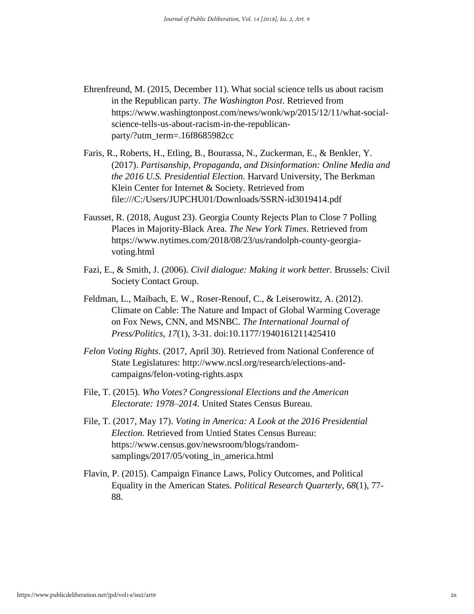- Ehrenfreund, M. (2015, December 11). What social science tells us about racism in the Republican party. *The Washington Post*. Retrieved from https://www.washingtonpost.com/news/wonk/wp/2015/12/11/what-socialscience-tells-us-about-racism-in-the-republicanparty/?utm\_term=.16f8685982cc
- Faris, R., Roberts, H., Etling, B., Bourassa, N., Zuckerman, E., & Benkler, Y. (2017). *Partisanship, Propaganda, and Disinformation: Online Media and the 2016 U.S. Presidential Election.* Harvard University, The Berkman Klein Center for Internet & Society. Retrieved from file:///C:/Users/JUPCHU01/Downloads/SSRN-id3019414.pdf
- Fausset, R. (2018, August 23). Georgia County Rejects Plan to Close 7 Polling Places in Majority-Black Area. *The New York Times*. Retrieved from https://www.nytimes.com/2018/08/23/us/randolph-county-georgiavoting.html
- Fazi, E., & Smith, J. (2006). *Civil dialogue: Making it work better.* Brussels: Civil Society Contact Group.
- Feldman, L., Maibach, E. W., Roser-Renouf, C., & Leiserowitz, A. (2012). Climate on Cable: The Nature and Impact of Global Warming Coverage on Fox News, CNN, and MSNBC. *The International Journal of Press/Politics, 17*(1), 3-31. doi:10.1177/1940161211425410
- *Felon Voting Rights*. (2017, April 30). Retrieved from National Conference of State Legislatures: http://www.ncsl.org/research/elections-andcampaigns/felon-voting-rights.aspx
- File, T. (2015). *Who Votes? Congressional Elections and the American Electorate: 1978–2014.* United States Census Bureau.
- File, T. (2017, May 17). *Voting in America: A Look at the 2016 Presidential Election.* Retrieved from Untied States Census Bureau: https://www.census.gov/newsroom/blogs/randomsamplings/2017/05/voting\_in\_america.html
- Flavin, P. (2015). Campaign Finance Laws, Policy Outcomes, and Political Equality in the American States. *Political Research Quarterly, 68*(1), 77- 88.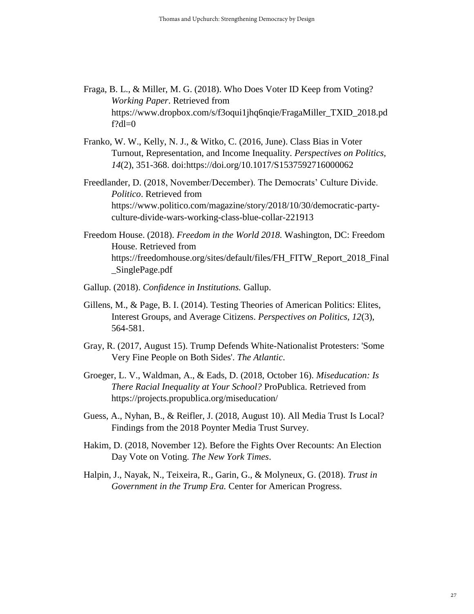- Fraga, B. L., & Miller, M. G. (2018). Who Does Voter ID Keep from Voting? *Working Paper*. Retrieved from https://www.dropbox.com/s/f3oqui1jhq6nqie/FragaMiller\_TXID\_2018.pd  $f?dl=0$
- Franko, W. W., Kelly, N. J., & Witko, C. (2016, June). Class Bias in Voter Turnout, Representation, and Income Inequality. *Perspectives on Politics, 14*(2), 351-368. doi:https://doi.org/10.1017/S1537592716000062
- Freedlander, D. (2018, November/December). The Democrats' Culture Divide. *Politico*. Retrieved from https://www.politico.com/magazine/story/2018/10/30/democratic-partyculture-divide-wars-working-class-blue-collar-221913
- Freedom House. (2018). *Freedom in the World 2018.* Washington, DC: Freedom House. Retrieved from https://freedomhouse.org/sites/default/files/FH\_FITW\_Report\_2018\_Final \_SinglePage.pdf
- Gallup. (2018). *Confidence in Institutions.* Gallup.
- Gillens, M., & Page, B. I. (2014). Testing Theories of American Politics: Elites, Interest Groups, and Average Citizens. *Perspectives on Politics, 12*(3), 564-581.
- Gray, R. (2017, August 15). Trump Defends White-Nationalist Protesters: 'Some Very Fine People on Both Sides'. *The Atlantic*.
- Groeger, L. V., Waldman, A., & Eads, D. (2018, October 16). *Miseducation: Is There Racial Inequality at Your School?* ProPublica. Retrieved from https://projects.propublica.org/miseducation/
- Guess, A., Nyhan, B., & Reifler, J. (2018, August 10). All Media Trust Is Local? Findings from the 2018 Poynter Media Trust Survey.
- Hakim, D. (2018, November 12). Before the Fights Over Recounts: An Election Day Vote on Voting. *The New York Times*.
- Halpin, J., Nayak, N., Teixeira, R., Garin, G., & Molyneux, G. (2018). *Trust in Government in the Trump Era.* Center for American Progress.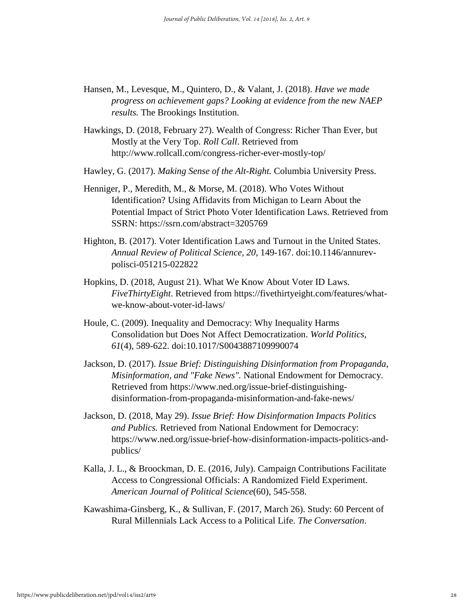- Hansen, M., Levesque, M., Quintero, D., & Valant, J. (2018). *Have we made progress on achievement gaps? Looking at evidence from the new NAEP results.* The Brookings Institution.
- Hawkings, D. (2018, February 27). Wealth of Congress: Richer Than Ever, but Mostly at the Very Top. *Roll Call*. Retrieved from http://www.rollcall.com/congress-richer-ever-mostly-top/
- Hawley, G. (2017). *Making Sense of the Alt-Right.* Columbia University Press.
- Henniger, P., Meredith, M., & Morse, M. (2018). Who Votes Without Identification? Using Affidavits from Michigan to Learn About the Potential Impact of Strict Photo Voter Identification Laws. Retrieved from SSRN: https://ssrn.com/abstract=3205769
- Highton, B. (2017). Voter Identification Laws and Turnout in the United States. *Annual Review of Political Science, 20*, 149-167. doi:10.1146/annurevpolisci-051215-022822
- Hopkins, D. (2018, August 21). What We Know About Voter ID Laws. *FiveThirtyEight*. Retrieved from https://fivethirtyeight.com/features/whatwe-know-about-voter-id-laws/
- Houle, C. (2009). Inequality and Democracy: Why Inequality Harms Consolidation but Does Not Affect Democratization. *World Politics, 61*(4), 589-622. doi:10.1017/S0043887109990074
- Jackson, D. (2017). *Issue Brief: Distinguishing Disinformation from Propaganda, Misinformation, and "Fake News".* National Endowment for Democracy. Retrieved from https://www.ned.org/issue-brief-distinguishingdisinformation-from-propaganda-misinformation-and-fake-news/
- Jackson, D. (2018, May 29). *Issue Brief: How Disinformation Impacts Politics and Publics.* Retrieved from National Endowment for Democracy: https://www.ned.org/issue-brief-how-disinformation-impacts-politics-andpublics/
- Kalla, J. L., & Broockman, D. E. (2016, July). Campaign Contributions Facilitate Access to Congressional Officials: A Randomized Field Experiment. *American Journal of Political Science*(60), 545-558.
- Kawashima-Ginsberg, K., & Sullivan, F. (2017, March 26). Study: 60 Percent of Rural Millennials Lack Access to a Political Life. *The Conversation*.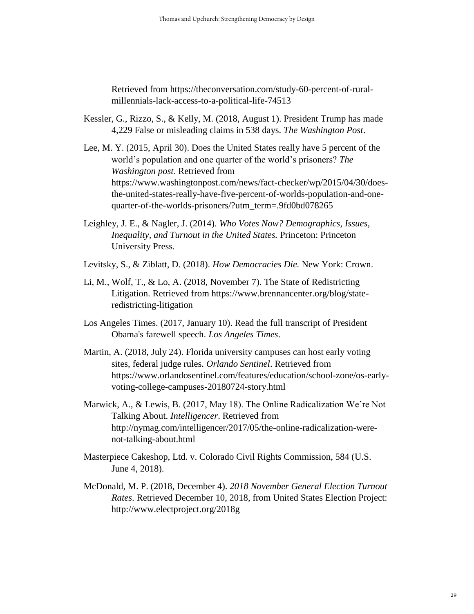Retrieved from https://theconversation.com/study-60-percent-of-ruralmillennials-lack-access-to-a-political-life-74513

- Kessler, G., Rizzo, S., & Kelly, M. (2018, August 1). President Trump has made 4,229 False or misleading claims in 538 days. *The Washington Post*.
- Lee, M. Y. (2015, April 30). Does the United States really have 5 percent of the world's population and one quarter of the world's prisoners? *The Washington post*. Retrieved from https://www.washingtonpost.com/news/fact-checker/wp/2015/04/30/doesthe-united-states-really-have-five-percent-of-worlds-population-and-onequarter-of-the-worlds-prisoners/?utm\_term=.9fd0bd078265
- Leighley, J. E., & Nagler, J. (2014). *Who Votes Now? Demographics, Issues, Inequality, and Turnout in the United States.* Princeton: Princeton University Press.
- Levitsky, S., & Ziblatt, D. (2018). *How Democracies Die.* New York: Crown.
- Li, M., Wolf, T., & Lo, A. (2018, November 7). The State of Redistricting Litigation. Retrieved from https://www.brennancenter.org/blog/stateredistricting-litigation
- Los Angeles Times. (2017, January 10). Read the full transcript of President Obama's farewell speech. *Los Angeles Times*.
- Martin, A. (2018, July 24). Florida university campuses can host early voting sites, federal judge rules. *Orlando Sentinel*. Retrieved from https://www.orlandosentinel.com/features/education/school-zone/os-earlyvoting-college-campuses-20180724-story.html
- Marwick, A., & Lewis, B. (2017, May 18). The Online Radicalization We're Not Talking About. *Intelligencer*. Retrieved from http://nymag.com/intelligencer/2017/05/the-online-radicalization-werenot-talking-about.html
- Masterpiece Cakeshop, Ltd. v. Colorado Civil Rights Commission, 584 (U.S. June 4, 2018).
- McDonald, M. P. (2018, December 4). *2018 November General Election Turnout Rates*. Retrieved December 10, 2018, from United States Election Project: http://www.electproject.org/2018g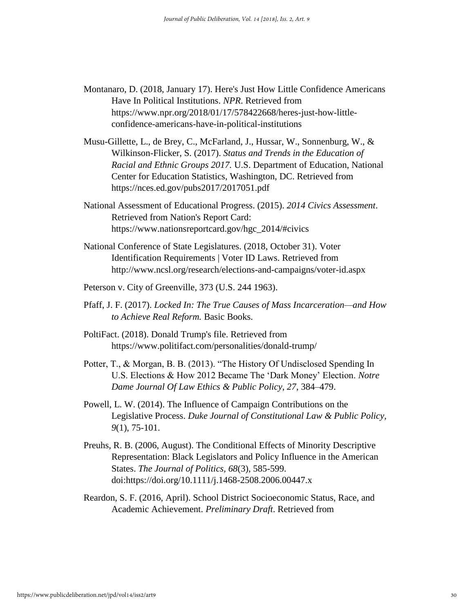- Montanaro, D. (2018, January 17). Here's Just How Little Confidence Americans Have In Political Institutions. *NPR*. Retrieved from https://www.npr.org/2018/01/17/578422668/heres-just-how-littleconfidence-americans-have-in-political-institutions
- Musu-Gillette, L., de Brey, C., McFarland, J., Hussar, W., Sonnenburg, W., & Wilkinson-Flicker, S. (2017). *Status and Trends in the Education of Racial and Ethnic Groups 2017.* U.S. Department of Education, National Center for Education Statistics, Washington, DC. Retrieved from https://nces.ed.gov/pubs2017/2017051.pdf
- National Assessment of Educational Progress. (2015). *2014 Civics Assessment*. Retrieved from Nation's Report Card: https://www.nationsreportcard.gov/hgc\_2014/#civics
- National Conference of State Legislatures. (2018, October 31). Voter Identification Requirements | Voter ID Laws. Retrieved from http://www.ncsl.org/research/elections-and-campaigns/voter-id.aspx
- Peterson v. City of Greenville, 373 (U.S. 244 1963).
- Pfaff, J. F. (2017). *Locked In: The True Causes of Mass Incarceration—and How to Achieve Real Reform.* Basic Books.
- PoltiFact. (2018). Donald Trump's file. Retrieved from https://www.politifact.com/personalities/donald-trump/
- Potter, T., & Morgan, B. B. (2013). "The History Of Undisclosed Spending In U.S. Elections & How 2012 Became The 'Dark Money' Election. *Notre Dame Journal Of Law Ethics & Public Policy, 27*, 384–479.
- Powell, L. W. (2014). The Influence of Campaign Contributions on the Legislative Process. *Duke Journal of Constitutional Law & Public Policy, 9*(1), 75-101.
- Preuhs, R. B. (2006, August). The Conditional Effects of Minority Descriptive Representation: Black Legislators and Policy Influence in the American States. *The Journal of Politics, 68*(3), 585-599. doi:https://doi.org/10.1111/j.1468-2508.2006.00447.x
- Reardon, S. F. (2016, April). School District Socioeconomic Status, Race, and Academic Achievement. *Preliminary Draft*. Retrieved from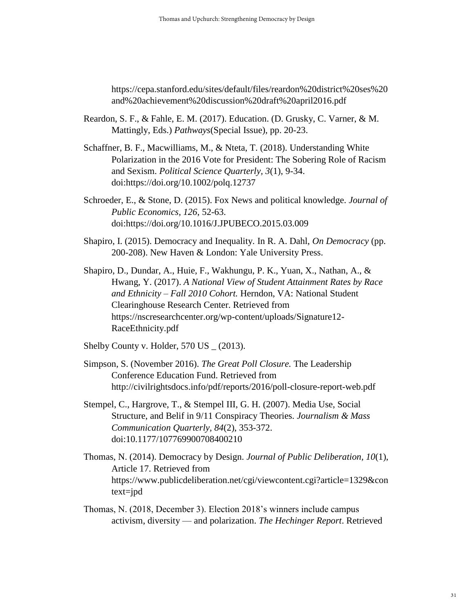https://cepa.stanford.edu/sites/default/files/reardon%20district%20ses%20 and%20achievement%20discussion%20draft%20april2016.pdf

- Reardon, S. F., & Fahle, E. M. (2017). Education. (D. Grusky, C. Varner, & M. Mattingly, Eds.) *Pathways*(Special Issue), pp. 20-23.
- Schaffner, B. F., Macwilliams, M., & Nteta, T. (2018). Understanding White Polarization in the 2016 Vote for President: The Sobering Role of Racism and Sexism. *Political Science Quarterly, 3*(1), 9-34. doi:https://doi.org/10.1002/polq.12737
- Schroeder, E., & Stone, D. (2015). Fox News and political knowledge. *Journal of Public Economics, 126*, 52-63. doi:https://doi.org/10.1016/J.JPUBECO.2015.03.009
- Shapiro, I. (2015). Democracy and Inequality. In R. A. Dahl, *On Democracy* (pp. 200-208). New Haven & London: Yale University Press.
- Shapiro, D., Dundar, A., Huie, F., Wakhungu, P. K., Yuan, X., Nathan, A., & Hwang, Y. (2017). *A National View of Student Attainment Rates by Race and Ethnicity – Fall 2010 Cohort.* Herndon, VA: National Student Clearinghouse Research Center. Retrieved from https://nscresearchcenter.org/wp-content/uploads/Signature12- RaceEthnicity.pdf
- Shelby County v. Holder, 570 US (2013).
- Simpson, S. (November 2016). *The Great Poll Closure.* The Leadership Conference Education Fund. Retrieved from http://civilrightsdocs.info/pdf/reports/2016/poll-closure-report-web.pdf
- Stempel, C., Hargrove, T., & Stempel III, G. H. (2007). Media Use, Social Structure, and Belif in 9/11 Conspiracy Theories. *Journalism & Mass Communication Quarterly, 84*(2), 353-372. doi:10.1177/107769900708400210
- Thomas, N. (2014). Democracy by Design. *Journal of Public Deliberation, 10*(1), Article 17. Retrieved from https://www.publicdeliberation.net/cgi/viewcontent.cgi?article=1329&con text=jpd
- Thomas, N. (2018, December 3). Election 2018's winners include campus activism, diversity — and polarization. *The Hechinger Report*. Retrieved